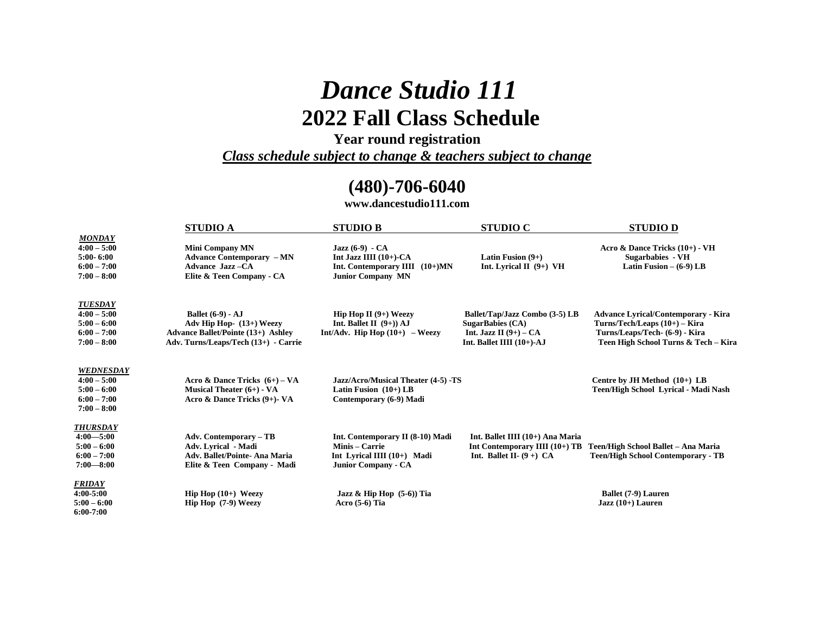# *Dance Studio 111*  **2022 Fall Class Schedule**

**Year round registration**

*Class schedule subject to change & teachers subject to change* 

## **(480)-706-6040**

**www.dancestudio111.com**

|                                                                                      | <b>STUDIO A</b>                                                                                                                           | <b>STUDIO B</b>                                                                                                   | <b>STUDIO C</b>                                                                                                    | <b>STUDIO D</b>                                                                                                                                       |
|--------------------------------------------------------------------------------------|-------------------------------------------------------------------------------------------------------------------------------------------|-------------------------------------------------------------------------------------------------------------------|--------------------------------------------------------------------------------------------------------------------|-------------------------------------------------------------------------------------------------------------------------------------------------------|
| <b>MONDAY</b><br>$4:00 - 5:00$<br>$5:00 - 6:00$<br>$6:00 - 7:00$<br>$7:00 - 8:00$    | <b>Mini Company MN</b><br><b>Advance Contemporary – MN</b><br>Advance Jazz-CA<br>Elite & Teen Company - CA                                | Jazz $(6-9)$ - CA<br>Int Jazz IIII $(10+)$ -CA<br>Int. Contemporary IIII (10+)MN<br><b>Junior Company MN</b>      | Latin Fusion $(9+)$<br>Int. Lyrical $\Pi$ (9+) VH                                                                  | Acro & Dance Tricks (10+) - VH<br>Sugarbabies - VH<br>Latin Fusion $-$ (6-9) LB                                                                       |
| <b>TUESDAY</b><br>$4:00 - 5:00$<br>$5:00 - 6:00$<br>$6:00 - 7:00$<br>$7:00 - 8:00$   | <b>Ballet</b> (6-9) - AJ<br>Adv Hip Hop- (13+) Weezy<br><b>Advance Ballet/Pointe (13+) Ashley</b><br>Adv. Turns/Leaps/Tech (13+) - Carrie | <b>Hip Hop II</b> $(9+)$ Weezy<br>Int. Ballet II $(9+)$ ) AJ<br>Int/Adv. Hip Hop $(10+)$ – Weezy                  | Ballet/Tap/Jazz Combo (3-5) LB<br><b>SugarBabies (CA)</b><br>Int. Jazz II $(9+)$ – CA<br>Int. Ballet IIII (10+)-AJ | <b>Advance Lyrical/Contemporary - Kira</b><br>Turns/Tech/Leaps (10+) - Kira<br>Turns/Leaps/Tech- (6-9) - Kira<br>Teen High School Turns & Tech - Kira |
| <b>WEDNESDAY</b><br>$4:00 - 5:00$<br>$5:00 - 6:00$<br>$6:00 - 7:00$<br>$7:00 - 8:00$ | Acro & Dance Tricks $(6+)$ – VA<br>Musical Theater $(6+)$ - VA<br>Acro & Dance Tricks (9+)- VA                                            | Jazz/Acro/Musical Theater (4-5) -TS<br>Latin Fusion $(10+)$ LB<br>Contemporary (6-9) Madi                         |                                                                                                                    | Centre by JH Method (10+) LB<br>Teen/High School Lyrical - Madi Nash                                                                                  |
| <b>THURSDAY</b><br>$4:00 - 5:00$<br>$5:00 - 6:00$<br>$6:00 - 7:00$<br>$7:00 - 8:00$  | <b>Adv. Contemporary - TB</b><br>Adv. Lyrical - Madi<br><b>Adv. Ballet/Pointe- Ana Maria</b><br>Elite & Teen Company - Madi               | Int. Contemporary II (8-10) Madi<br>Minis – Carrie<br>Int Lyrical IIII $(10+)$ Madi<br><b>Junior Company - CA</b> | Int. Ballet IIII (10+) Ana Maria<br>Int Contemporary IIII (10+) TB<br>Int. Ballet II- $(9 +)$ CA                   | Teen/High School Ballet - Ana Maria<br><b>Teen/High School Contemporary - TB</b>                                                                      |
| <b>FRIDAY</b><br>4:00-5:00<br>$5:00 - 6:00$<br>$6:00-7:00$                           | Hip Hop $(10+)$ Weezy<br>Hip Hop (7-9) Weezy                                                                                              | Jazz & Hip Hop $(5-6)$ ) Tia<br>Acro $(5-6)$ Tia                                                                  |                                                                                                                    | Ballet (7-9) Lauren<br>$Jazz(10+) Lauren$                                                                                                             |